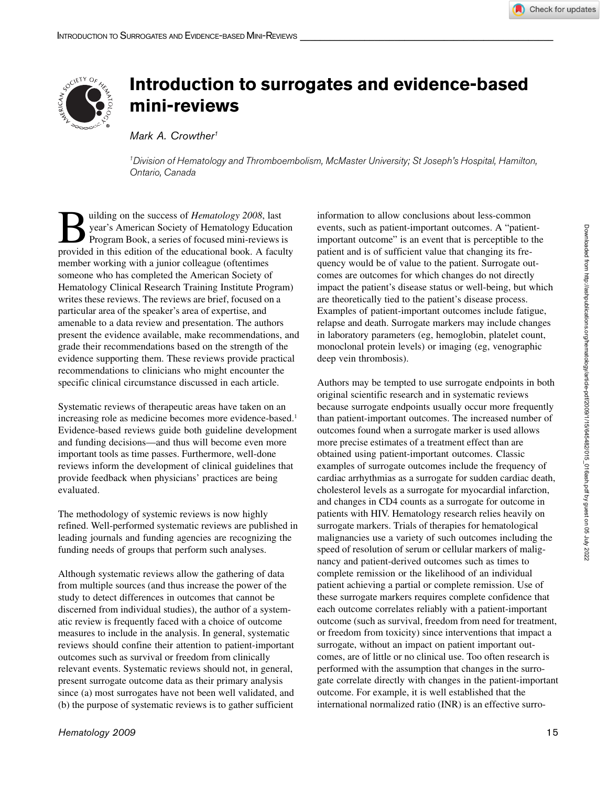

## **Introduction to surrogates and evidence-based mini-reviews**

*Mark A. Crowther1*

*1 Division of Hematology and Thromboembolism, McMaster University; St Joseph's Hospital, Hamilton, Ontario, Canada*

**Building on the success of** *Hematology 2008***, last<br>pear's American Society of Hematology Education<br>provided in this edition of the educational book. A fact** year's American Society of Hematology Education Program Book, a series of focused mini-reviews is provided in this edition of the educational book. A faculty member working with a junior colleague (oftentimes someone who has completed the American Society of Hematology Clinical Research Training Institute Program) writes these reviews. The reviews are brief, focused on a particular area of the speaker's area of expertise, and amenable to a data review and presentation. The authors present the evidence available, make recommendations, and grade their recommendations based on the strength of the evidence supporting them. These reviews provide practical recommendations to clinicians who might encounter the specific clinical circumstance discussed in each article.

Systematic reviews of therapeutic areas have taken on an increasing role as medicine becomes more evidence-based.<sup>1</sup> Evidence-based reviews guide both guideline development and funding decisions—and thus will become even more important tools as time passes. Furthermore, well-done reviews inform the development of clinical guidelines that provide feedback when physicians' practices are being evaluated.

The methodology of systemic reviews is now highly refined. Well-performed systematic reviews are published in leading journals and funding agencies are recognizing the funding needs of groups that perform such analyses.

Although systematic reviews allow the gathering of data from multiple sources (and thus increase the power of the study to detect differences in outcomes that cannot be discerned from individual studies), the author of a systematic review is frequently faced with a choice of outcome measures to include in the analysis. In general, systematic reviews should confine their attention to patient-important outcomes such as survival or freedom from clinically relevant events. Systematic reviews should not, in general, present surrogate outcome data as their primary analysis since (a) most surrogates have not been well validated, and (b) the purpose of systematic reviews is to gather sufficient

information to allow conclusions about less-common events, such as patient-important outcomes. A "patientimportant outcome" is an event that is perceptible to the patient and is of sufficient value that changing its frequency would be of value to the patient. Surrogate outcomes are outcomes for which changes do not directly impact the patient's disease status or well-being, but which are theoretically tied to the patient's disease process. Examples of patient-important outcomes include fatigue, relapse and death. Surrogate markers may include changes in laboratory parameters (eg, hemoglobin, platelet count, monoclonal protein levels) or imaging (eg, venographic deep vein thrombosis).

Authors may be tempted to use surrogate endpoints in both original scientific research and in systematic reviews because surrogate endpoints usually occur more frequently than patient-important outcomes. The increased number of outcomes found when a surrogate marker is used allows more precise estimates of a treatment effect than are obtained using patient-important outcomes. Classic examples of surrogate outcomes include the frequency of cardiac arrhythmias as a surrogate for sudden cardiac death, cholesterol levels as a surrogate for myocardial infarction, and changes in CD4 counts as a surrogate for outcome in patients with HIV. Hematology research relies heavily on surrogate markers. Trials of therapies for hematological malignancies use a variety of such outcomes including the speed of resolution of serum or cellular markers of malignancy and patient-derived outcomes such as times to complete remission or the likelihood of an individual patient achieving a partial or complete remission. Use of these surrogate markers requires complete confidence that each outcome correlates reliably with a patient-important outcome (such as survival, freedom from need for treatment, or freedom from toxicity) since interventions that impact a surrogate, without an impact on patient important outcomes, are of little or no clinical use. Too often research is performed with the assumption that changes in the surrogate correlate directly with changes in the patient-important outcome. For example, it is well established that the international normalized ratio (INR) is an effective surro